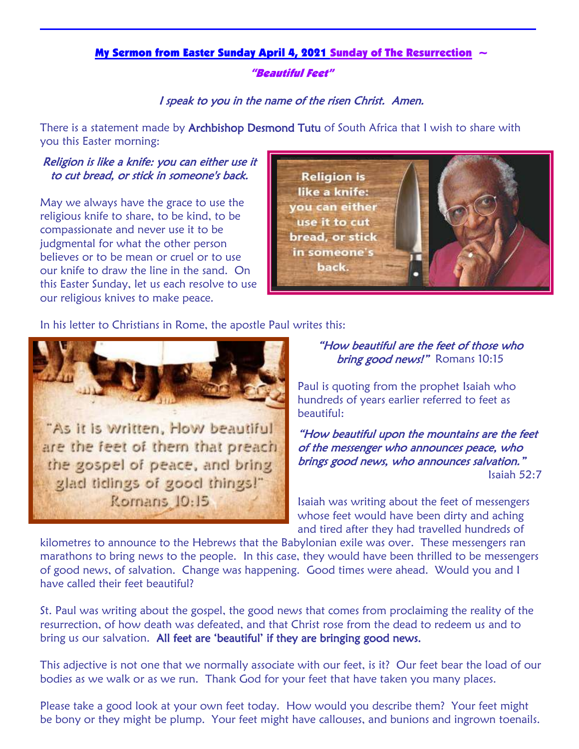# My Sermon from Easter Sunday April 4, 2021 Sunday of The Resurrection  $\sim$

### "Beautiful Feet"

## I speak to you in the name of the risen Christ. Amen.

There is a statement made by **Archbishop Desmond Tutu** of South Africa that I wish to share with you this Easter morning:

### Religion is like a knife: you can either use it to cut bread, or stick in someone's back.

May we always have the grace to use the religious knife to share, to be kind, to be compassionate and never use it to be judgmental for what the other person believes or to be mean or cruel or to use our knife to draw the line in the sand. On this Easter Sunday, let us each resolve to use our religious knives to make peace.



In his letter to Christians in Rome, the apostle Paul writes this:



## "How beautiful are the feet of those who bring good news!" Romans 10:15

Paul is quoting from the prophet Isaiah who hundreds of years earlier referred to feet as beautiful:

"How beautiful upon the mountains are the feet of the messenger who announces peace, who brings good news, who announces salvation." Isaiah 52:7

Isaiah was writing about the feet of messengers whose feet would have been dirty and aching and tired after they had travelled hundreds of

kilometres to announce to the Hebrews that the Babylonian exile was over. These messengers ran marathons to bring news to the people. In this case, they would have been thrilled to be messengers of good news, of salvation. Change was happening. Good times were ahead. Would you and I have called their feet beautiful?

St. Paul was writing about the gospel, the good news that comes from proclaiming the reality of the resurrection, of how death was defeated, and that Christ rose from the dead to redeem us and to bring us our salvation. All feet are 'beautiful' if they are bringing good news.

This adjective is not one that we normally associate with our feet, is it? Our feet bear the load of our bodies as we walk or as we run. Thank God for your feet that have taken you many places.

Please take a good look at your own feet today. How would you describe them? Your feet might be bony or they might be plump. Your feet might have callouses, and bunions and ingrown toenails.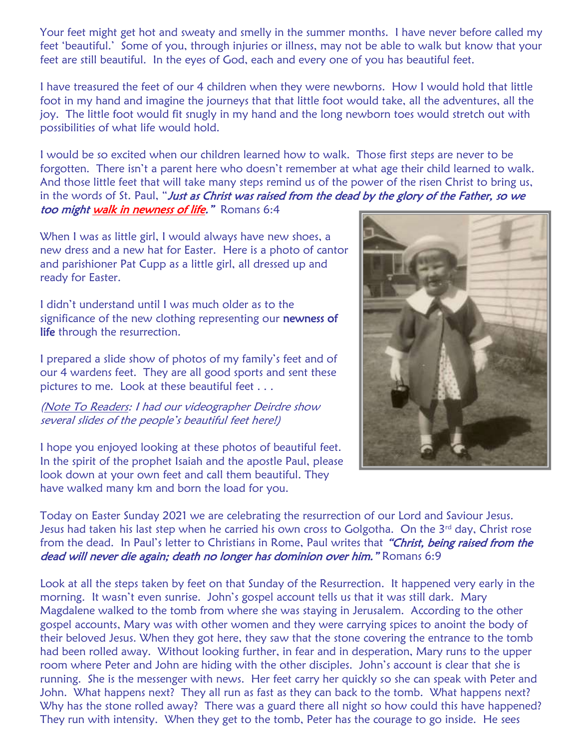Your feet might get hot and sweaty and smelly in the summer months. I have never before called my feet 'beautiful.' Some of you, through injuries or illness, may not be able to walk but know that your feet are still beautiful. In the eyes of God, each and every one of you has beautiful feet.

I have treasured the feet of our 4 children when they were newborns. How I would hold that little foot in my hand and imagine the journeys that that little foot would take, all the adventures, all the joy. The little foot would fit snugly in my hand and the long newborn toes would stretch out with possibilities of what life would hold.

I would be so excited when our children learned how to walk. Those first steps are never to be forgotten. There isn't a parent here who doesn't remember at what age their child learned to walk. And those little feet that will take many steps remind us of the power of the risen Christ to bring us, in the words of St. Paul, "Just as Christ was raised from the dead by the glory of the Father, so we too might walk in newness of life." Romans 6:4

When I was as little girl, I would always have new shoes, a new dress and a new hat for Easter. Here is a photo of cantor and parishioner Pat Cupp as a little girl, all dressed up and ready for Easter.

I didn't understand until I was much older as to the significance of the new clothing representing our newness of life through the resurrection.

I prepared a slide show of photos of my family's feet and of our 4 wardens feet. They are all good sports and sent these pictures to me. Look at these beautiful feet . . .

(Note To Readers: I had our videographer Deirdre show several slides of the people's beautiful feet here!)

I hope you enjoyed looking at these photos of beautiful feet. In the spirit of the prophet Isaiah and the apostle Paul, please look down at your own feet and call them beautiful. They have walked many km and born the load for you.



Today on Easter Sunday 2021 we are celebrating the resurrection of our Lord and Saviour Jesus. Jesus had taken his last step when he carried his own cross to Golgotha. On the 3rd day, Christ rose from the dead. In Paul's letter to Christians in Rome, Paul writes that "Christ, being raised from the dead will never die again; death no longer has dominion over him." Romans 6:9

Look at all the steps taken by feet on that Sunday of the Resurrection. It happened very early in the morning. It wasn't even sunrise. John's gospel account tells us that it was still dark. Mary Magdalene walked to the tomb from where she was staying in Jerusalem. According to the other gospel accounts, Mary was with other women and they were carrying spices to anoint the body of their beloved Jesus. When they got here, they saw that the stone covering the entrance to the tomb had been rolled away. Without looking further, in fear and in desperation, Mary runs to the upper room where Peter and John are hiding with the other disciples. John's account is clear that she is running. She is the messenger with news. Her feet carry her quickly so she can speak with Peter and John. What happens next? They all run as fast as they can back to the tomb. What happens next? Why has the stone rolled away? There was a guard there all night so how could this have happened? They run with intensity. When they get to the tomb, Peter has the courage to go inside. He sees